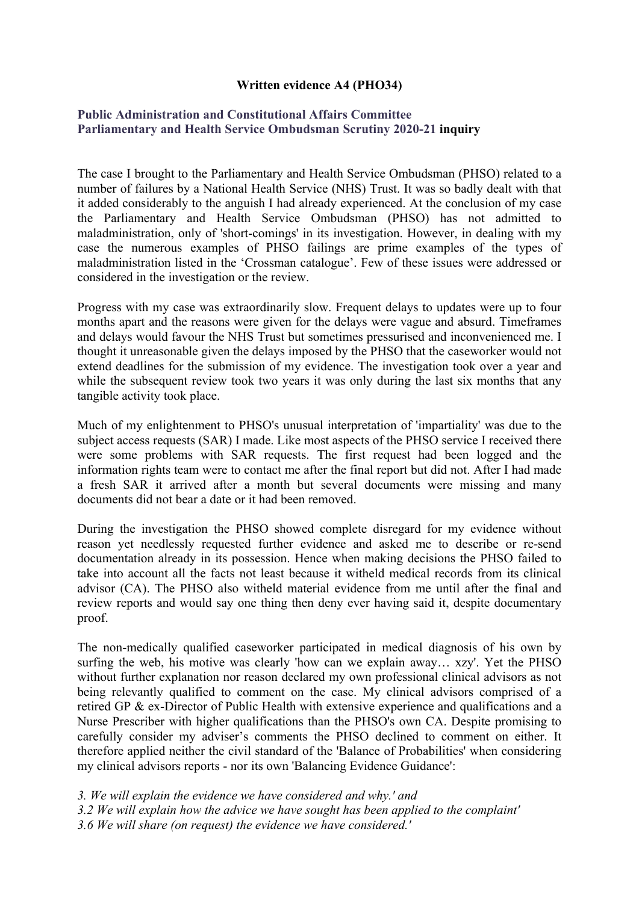## **Written evidence A4 (PHO34)**

## **[Public](https://admin.committees.parliament.uk/Committee/Edit/327) [Administration](https://admin.committees.parliament.uk/Committee/Edit/327) [and](https://admin.committees.parliament.uk/Committee/Edit/327) [Constitutional](https://admin.committees.parliament.uk/Committee/Edit/327) [Affairs](https://admin.committees.parliament.uk/Committee/Edit/327) [Committee](https://admin.committees.parliament.uk/Committee/Edit/327) [Parliamentary](https://admin.committees.parliament.uk/Committee/327/CommitteeBusiness/Edit/1503) [and](https://admin.committees.parliament.uk/Committee/327/CommitteeBusiness/Edit/1503) [Health](https://admin.committees.parliament.uk/Committee/327/CommitteeBusiness/Edit/1503) [Service](https://admin.committees.parliament.uk/Committee/327/CommitteeBusiness/Edit/1503) [Ombudsman](https://admin.committees.parliament.uk/Committee/327/CommitteeBusiness/Edit/1503) [Scrutiny](https://admin.committees.parliament.uk/Committee/327/CommitteeBusiness/Edit/1503) [2020-21](https://admin.committees.parliament.uk/Committee/327/CommitteeBusiness/Edit/1503) inquiry**

The case I brought to the Parliamentary and Health Service Ombudsman (PHSO) related to a number of failures by a National Health Service (NHS) Trust. It was so badly dealt with that it added considerably to the anguish I had already experienced. At the conclusion of my case the Parliamentary and Health Service Ombudsman (PHSO) has not admitted to maladministration, only of 'short-comings' in its investigation. However, in dealing with my case the numerous examples of PHSO failings are prime examples of the types of maladministration listed in the 'Crossman catalogue'. Few of these issues were addressed or considered in the investigation or the review.

Progress with my case was extraordinarily slow. Frequent delays to updates were up to four months apart and the reasons were given for the delays were vague and absurd. Timeframes and delays would favour the NHS Trust but sometimes pressurised and inconvenienced me. I thought it unreasonable given the delays imposed by the PHSO that the caseworker would not extend deadlines for the submission of my evidence. The investigation took over a year and while the subsequent review took two years it was only during the last six months that any tangible activity took place.

Much of my enlightenment to PHSO's unusual interpretation of 'impartiality' was due to the subject access requests (SAR) I made. Like most aspects of the PHSO service I received there were some problems with SAR requests. The first request had been logged and the information rights team were to contact me after the final report but did not. After I had made a fresh SAR it arrived after a month but several documents were missing and many documents did not bear a date or it had been removed.

During the investigation the PHSO showed complete disregard for my evidence without reason yet needlessly requested further evidence and asked me to describe or re-send documentation already in its possession. Hence when making decisions the PHSO failed to take into account all the facts not least because it witheld medical records from its clinical advisor (CA). The PHSO also witheld material evidence from me until after the final and review reports and would say one thing then deny ever having said it, despite documentary proof.

The non-medically qualified caseworker participated in medical diagnosis of his own by surfing the web, his motive was clearly 'how can we explain away… xzy'. Yet the PHSO without further explanation nor reason declared my own professional clinical advisors as not being relevantly qualified to comment on the case. My clinical advisors comprised of a retired GP & ex-Director of Public Health with extensive experience and qualifications and a Nurse Prescriber with higher qualifications than the PHSO's own CA. Despite promising to carefully consider my adviser's comments the PHSO declined to comment on either. It therefore applied neither the civil standard of the 'Balance of Probabilities' when considering my clinical advisors reports - nor its own 'Balancing Evidence Guidance':

*3. We will explain the evidence we have considered and why.' and*

*3.2 We will explain how the advice we have sought has been applied to the complaint'*

*3.6 We will share (on request) the evidence we have considered.'*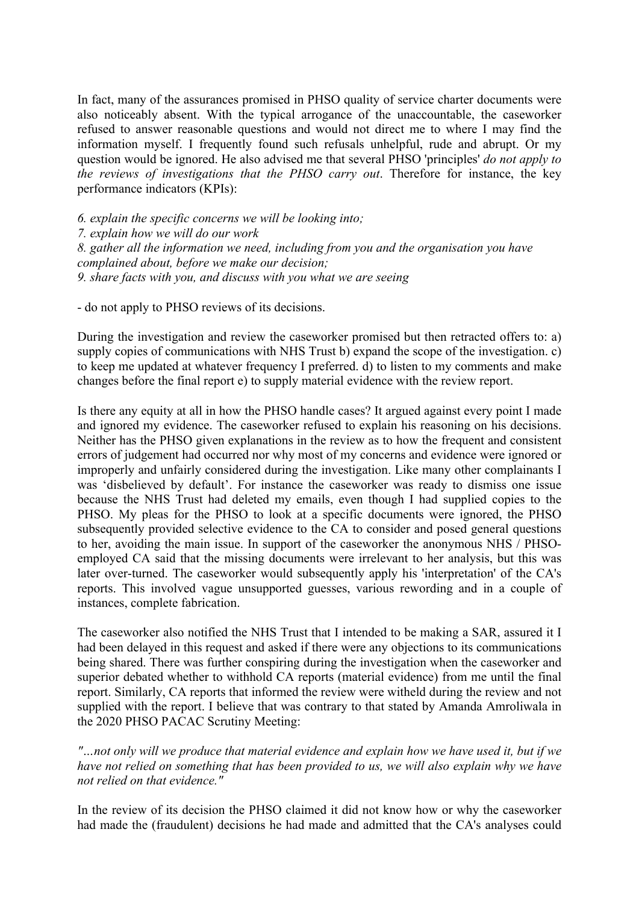In fact, many of the assurances promised in PHSO quality of service charter documents were also noticeably absent. With the typical arrogance of the unaccountable, the caseworker refused to answer reasonable questions and would not direct me to where I may find the information myself. I frequently found such refusals unhelpful, rude and abrupt. Or my question would be ignored. He also advised me that several PHSO 'principles' *do not apply to the reviews of investigations that the PHSO carry out*. Therefore for instance, the key performance indicators (KPIs):

*6. explain the specific concerns we will be looking into;*

*7. explain how we will do our work*

*8. gather all the information we need, including from you and the organisation you have complained about, before we make our decision; 9. share facts with you, and discuss with you what we are seeing*

- do not apply to PHSO reviews of its decisions.

During the investigation and review the caseworker promised but then retracted offers to: a) supply copies of communications with NHS Trust b) expand the scope of the investigation. c) to keep me updated at whatever frequency I preferred. d) to listen to my comments and make changes before the final report e) to supply material evidence with the review report.

Is there any equity at all in how the PHSO handle cases? It argued against every point I made and ignored my evidence. The caseworker refused to explain his reasoning on his decisions. Neither has the PHSO given explanations in the review as to how the frequent and consistent errors of judgement had occurred nor why most of my concerns and evidence were ignored or improperly and unfairly considered during the investigation. Like many other complainants I was 'disbelieved by default'. For instance the caseworker was ready to dismiss one issue because the NHS Trust had deleted my emails, even though I had supplied copies to the PHSO. My pleas for the PHSO to look at a specific documents were ignored, the PHSO subsequently provided selective evidence to the CA to consider and posed general questions to her, avoiding the main issue. In support of the caseworker the anonymous NHS / PHSOemployed CA said that the missing documents were irrelevant to her analysis, but this was later over-turned. The caseworker would subsequently apply his 'interpretation' of the CA's reports. This involved vague unsupported guesses, various rewording and in a couple of instances, complete fabrication.

The caseworker also notified the NHS Trust that I intended to be making a SAR, assured it I had been delayed in this request and asked if there were any objections to its communications being shared. There was further conspiring during the investigation when the caseworker and superior debated whether to withhold CA reports (material evidence) from me until the final report. Similarly, CA reports that informed the review were witheld during the review and not supplied with the report. I believe that was contrary to that stated by Amanda Amroliwala in the 2020 PHSO PACAC Scrutiny Meeting:

*"…not only will we produce that material evidence and explain how we have used it, but if we have not relied on something that has been provided to us, we will also explain why we have not relied on that evidence."*

In the review of its decision the PHSO claimed it did not know how or why the caseworker had made the (fraudulent) decisions he had made and admitted that the CA's analyses could